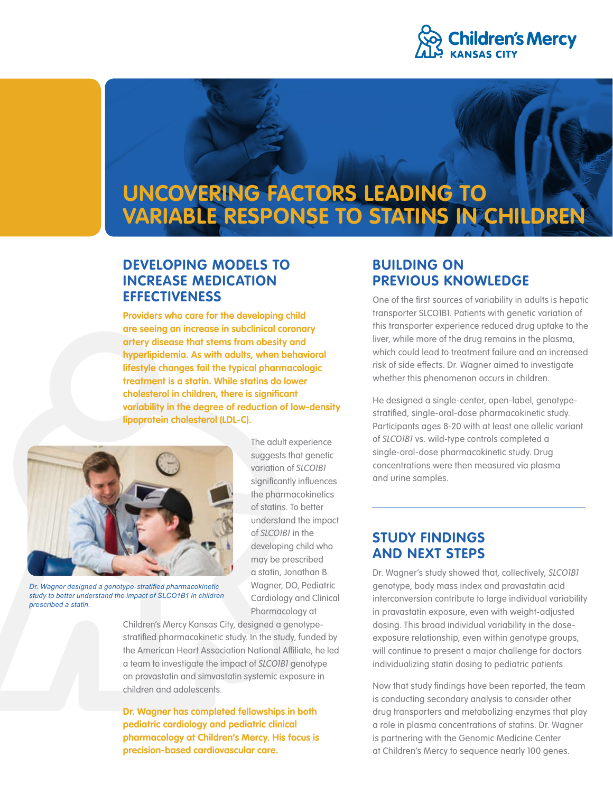

# **UNCOVERING FACTORS LEADING TO VARIABLE RESPONSE TO STATINS IN CHILDREN**

# **DEVELOPING MODELS TO INCREASE MEDICATION EFFECTIVENESS**

**Providers who care for the developing child are seeing an increase in subclinical coronary artery disease that stems from obesity and hyperlipidemia. As with adults, when behavioral lifestyle changes fail the typical pharmacologic treatment is a statin. While statins do lower cholesterol in children, there is significant variability in the degree of reduction of low-density lipoprotein cholesterol (LDL-C).** 



*Dr. Wagner designed a genotype-stratified pharmacokinetic study to better understand the impact of SLCO1B1 in children prescribed a statin.*

The adult experience suggests that genetic variation of *SLCO1B1* significantly influences the pharmacokinetics of statins. To better understand the impact of *SLCO1B1* in the developing child who may be prescribed a statin, Jonathan B. Wagner, DO, Pediatric Cardiology and Clinical Pharmacology at

Children's Mercy Kansas City, designed a genotypestratified pharmacokinetic study. In the study, funded by the American Heart Association National Affiliate, he led a team to investigate the impact of *SLCO1B1* genotype on pravastatin and simvastatin systemic exposure in children and adolescents.

**Dr. Wagner has completed fellowships in both pediatric cardiology and pediatric clinical pharmacology at Children's Mercy. His focus is precision-based cardiovascular care.**

# **BUILDING ON PREVIOUS KNOWLEDGE**

One of the first sources of variability in adults is hepatic transporter SLCO1B1. Patients with genetic variation of this transporter experience reduced drug uptake to the liver, while more of the drug remains in the plasma, which could lead to treatment failure and an increased risk of side effects. Dr. Wagner aimed to investigate whether this phenomenon occurs in children.

He designed a single-center, open-label, genotypestratified, single-oral-dose pharmacokinetic study. Participants ages 8-20 with at least one allelic variant of *SLCO1B1* vs. wild-type controls completed a single-oral-dose pharmacokinetic study. Drug concentrations were then measured via plasma and urine samples.

# **STUDY FINDINGS AND NEXT STEPS**

Dr. Wagner's study showed that, collectively, *SLCO1B1* genotype, body mass index and pravastatin acid interconversion contribute to large individual variability in pravastatin exposure, even with weight-adjusted dosing. This broad individual variability in the doseexposure relationship, even within genotype groups, will continue to present a major challenge for doctors individualizing statin dosing to pediatric patients.

Now that study findings have been reported, the team is conducting secondary analysis to consider other drug transporters and metabolizing enzymes that play a role in plasma concentrations of statins. Dr. Wagner is partnering with the Genomic Medicine Center at Children's Mercy to sequence nearly 100 genes.